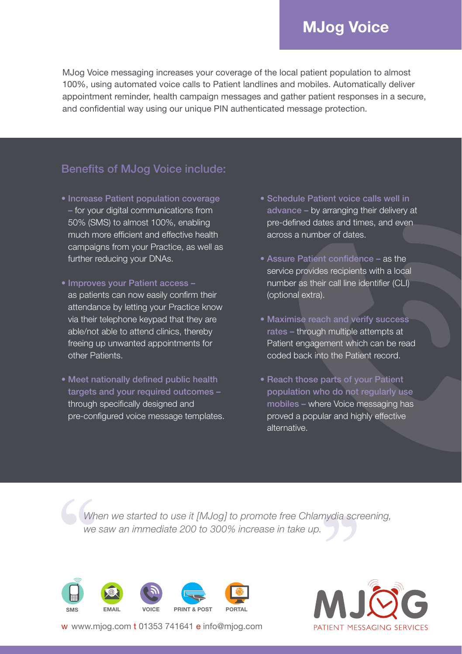## **MJog Voice**

MJog Voice messaging increases your coverage of the local patient population to almost 100%, using automated voice calls to Patient landlines and mobiles. Automatically deliver appointment reminder, health campaign messages and gather patient responses in a secure, and confidential way using our unique PIN authenticated message protection.

## Benefits of MJog Voice include:

- Increase Patient population coverage – for your digital communications from 50% (SMS) to almost 100%, enabling much more efficient and effective health campaigns from your Practice, as well as further reducing your DNAs.
- Improves your Patient access as patients can now easily confirm their attendance by letting your Practice know via their telephone keypad that they are able/not able to attend clinics, thereby freeing up unwanted appointments for other Patients.
- Meet nationally defined public health targets and your required outcomes through specifically designed and pre-configured voice message templates.
- Schedule Patient voice calls well in advance – by arranging their delivery at pre-defined dates and times, and even across a number of dates.
- Assure Patient confidence as the service provides recipients with a local number as their call line identifier (CLI) (optional extra).
- Maximise reach and verify success rates – through multiple attempts at Patient engagement which can be read coded back into the Patient record.
- Reach those parts of your Patient population who do not regularly use mobiles – where Voice messaging has proved a popular and highly effective alternative.

*When we started to use it [MJog] to promote free Chlamydia screening, we saw an immediate 200 to 300% increase in take up.*



w www.mjog.com t 01353 741641 e info@mjog.com